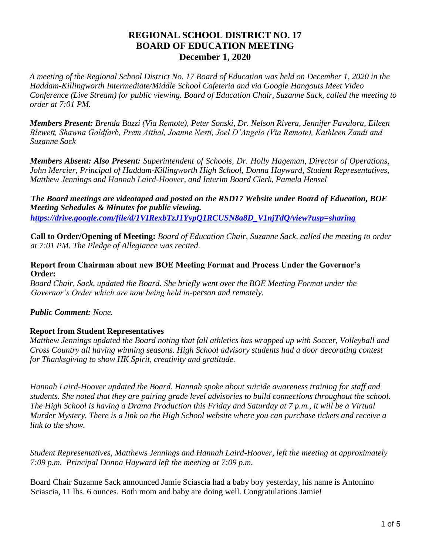# **REGIONAL SCHOOL DISTRICT NO. 17 BOARD OF EDUCATION MEETING December 1, 2020**

*A meeting of the Regional School District No. 17 Board of Education was held on December 1, 2020 in the Haddam-Killingworth Intermediate/Middle School Cafeteria and via Google Hangouts Meet Video Conference (Live Stream) for public viewing. Board of Education Chair, Suzanne Sack, called the meeting to order at 7:01 PM.* 

*Members Present: Brenda Buzzi (Via Remote), Peter Sonski, Dr. Nelson Rivera, Jennifer Favalora, Eileen Blewett, Shawna Goldfarb, Prem Aithal, Joanne Nesti, Joel D'Angelo (Via Remote), Kathleen Zandi and Suzanne Sack* 

*Members Absent: Also Present: Superintendent of Schools, Dr. Holly Hageman, Director of Operations, John Mercier, Principal of Haddam-Killingworth High School, Donna Hayward, Student Representatives, Matthew Jennings and Hannah Laird-Hoover, and Interim Board Clerk, Pamela Hensel* 

*The Board meetings are videotaped and posted on the RSD17 Website under Board of Education, BOE Meeting Schedules & Minutes for public viewing. https://drive.google.com/file/d/1VIRexbTzJ1YypQ1RCUSN8a8D\_V1njTdQ/view?usp=sharing*

**Call to Order/Opening of Meeting:** *Board of Education Chair, Suzanne Sack, called the meeting to order at 7:01 PM. The Pledge of Allegiance was recited.* 

### **Report from Chairman about new BOE Meeting Format and Process Under the Governor's Order:**

*Board Chair, Sack, updated the Board. She briefly went over the BOE Meeting Format under the Governor's Order which are now being held in-person and remotely.* 

# *Public Comment: None.*

# **Report from Student Representatives**

*Matthew Jennings updated the Board noting that fall athletics has wrapped up with Soccer, Volleyball and Cross Country all having winning seasons. High School advisory students had a door decorating contest for Thanksgiving to show HK Spirit, creativity and gratitude.* 

*Hannah Laird-Hoover updated the Board. Hannah spoke about suicide awareness training for staff and students. She noted that they are pairing grade level advisories to build connections throughout the school. The High School is having a Drama Production this Friday and Saturday at 7 p.m., it will be a Virtual Murder Mystery. There is a link on the High School website where you can purchase tickets and receive a link to the show.* 

*Student Representatives, Matthews Jennings and Hannah Laird-Hoover, left the meeting at approximately 7:09 p.m. Principal Donna Hayward left the meeting at 7:09 p.m.*

Board Chair Suzanne Sack announced Jamie Sciascia had a baby boy yesterday, his name is Antonino Sciascia, 11 lbs. 6 ounces. Both mom and baby are doing well. Congratulations Jamie!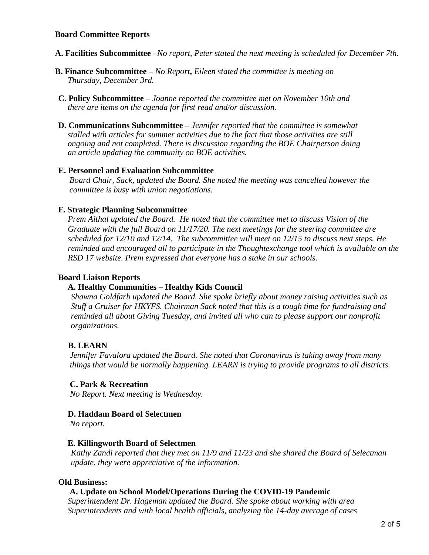### **Board Committee Reports**

- **A. Facilities Subcommittee –***No report, Peter stated the next meeting is scheduled for December 7th.*
- **B. Finance Subcommittee –** *No Report***,** *Eileen stated the committee is meeting on Thursday, December 3rd.*
- **C. Policy Subcommittee –** *Joanne reported the committee met on November 10th and there are items on the agenda for first read and/or discussion.*
- **D. Communications Subcommittee –** *Jennifer reported that the committee is somewhat stalled with articles for summer activities due to the fact that those activities are still ongoing and not completed. There is discussion regarding the BOE Chairperson doing an article updating the community on BOE activities.*

### **E. Personnel and Evaluation Subcommittee**

*Board Chair, Sack, updated the Board. She noted the meeting was cancelled however the committee is busy with union negotiations.* 

### **F. Strategic Planning Subcommittee**

*Prem Aithal updated the Board. He noted that the committee met to discuss Vision of the Graduate with the full Board on 11/17/20. The next meetings for the steering committee are scheduled for 12/10 and 12/14. The subcommittee will meet on 12/15 to discuss next steps. He reminded and encouraged all to participate in the Thoughtexchange tool which is available on the RSD 17 website. Prem expressed that everyone has a stake in our schools.*

#### **Board Liaison Reports**

#### **A. Healthy Communities – Healthy Kids Council**

*Shawna Goldfarb updated the Board. She spoke briefly about money raising activities such as Stuff a Cruiser for HKYFS. Chairman Sack noted that this is a tough time for fundraising and reminded all about Giving Tuesday, and invited all who can to please support our nonprofit organizations.*

# **B. LEARN**

*Jennifer Favalora updated the Board. She noted that Coronavirus is taking away from many things that would be normally happening. LEARN is trying to provide programs to all districts.*

#### **C. Park & Recreation**

*No Report. Next meeting is Wednesday.*

#### **D. Haddam Board of Selectmen**

*No report.*

#### **E. Killingworth Board of Selectmen**

*Kathy Zandi reported that they met on 11/9 and 11/23 and she shared the Board of Selectman update, they were appreciative of the information.*

#### **Old Business:**

# **A. Update on School Model/Operations During the COVID-19 Pandemic**

*Superintendent Dr. Hageman updated the Board. She spoke about working with area Superintendents and with local health officials, analyzing the 14-day average of cases*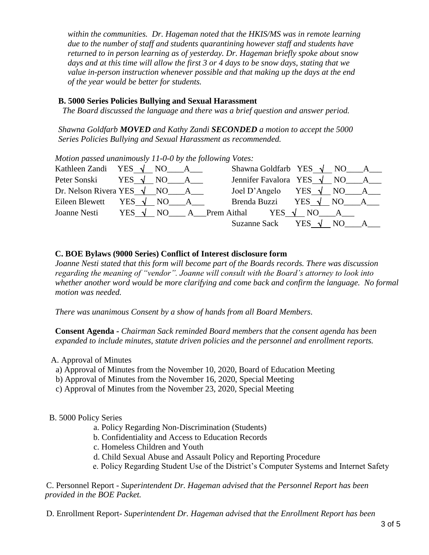*within the communities. Dr. Hageman noted that the HKIS/MS was in remote learning due to the number of staff and students quarantining however staff and students have returned to in person learning as of yesterday. Dr. Hageman briefly spoke about snow days and at this time will allow the first 3 or 4 days to be snow days, stating that we value in-person instruction whenever possible and that making up the days at the end of the year would be better for students.*

### **B. 5000 Series Policies Bullying and Sexual Harassment**

 *The Board discussed the language and there was a brief question and answer period.* 

*Shawna Goldfarb MOVED and Kathy Zandi SECONDED a motion to accept the 5000 Series Policies Bullying and Sexual Harassment as recommended.*

*Motion passed unanimously 11-0-0 by the following Votes:* 

| Kathleen Zandi YES $\sqrt{NO}$ A           |  |  | Shawna Goldfarb YES $\sqrt{NO_A_A}$                               |  |  |
|--------------------------------------------|--|--|-------------------------------------------------------------------|--|--|
| Peter Sonski YES $\sqrt{NO}$ A             |  |  | Jennifer Favalora YES $\sqrt{NO_{AA}}$ NO $-A_{AA}$               |  |  |
| Dr. Nelson Rivera YES $\sqrt{NO_A A_{12}}$ |  |  | Joel D'Angelo YES $\sqrt{NO_A}$ A                                 |  |  |
|                                            |  |  | Eileen Blewett YES $\sqrt{NO}$ A Brenda Buzzi YES $\sqrt{NO}$ A R |  |  |
|                                            |  |  | Joanne Nesti YES $\sqrt{NO}$ A Prem Aithal YES $\sqrt{NO}$ A      |  |  |
|                                            |  |  | Suzanne Sack YES $\sqrt{NO}$ A                                    |  |  |

# **C. BOE Bylaws (9000 Series) Conflict of Interest disclosure form**

*Joanne Nesti stated that this form will become part of the Boards records. There was discussion regarding the meaning of "vendor". Joanne will consult with the Board's attorney to look into whether another word would be more clarifying and come back and confirm the language. No formal motion was needed.*

*There was unanimous Consent by a show of hands from all Board Members.* 

**Consent Agenda -** *Chairman Sack reminded Board members that the consent agenda has been expanded to include minutes, statute driven policies and the personnel and enrollment reports.*

#### A. Approval of Minutes

- a) Approval of Minutes from the November 10, 2020, Board of Education Meeting
- b) Approval of Minutes from the November 16, 2020, Special Meeting
- c) Approval of Minutes from the November 23, 2020, Special Meeting

# B. 5000 Policy Series

- a. Policy Regarding Non-Discrimination (Students)
- b. Confidentiality and Access to Education Records
- c. Homeless Children and Youth
- d. Child Sexual Abuse and Assault Policy and Reporting Procedure
- e. Policy Regarding Student Use of the District's Computer Systems and Internet Safety

C. Personnel Report - *Superintendent Dr. Hageman advised that the Personnel Report has been provided in the BOE Packet.* 

D. Enrollment Report- *Superintendent Dr. Hageman advised that the Enrollment Report has been*